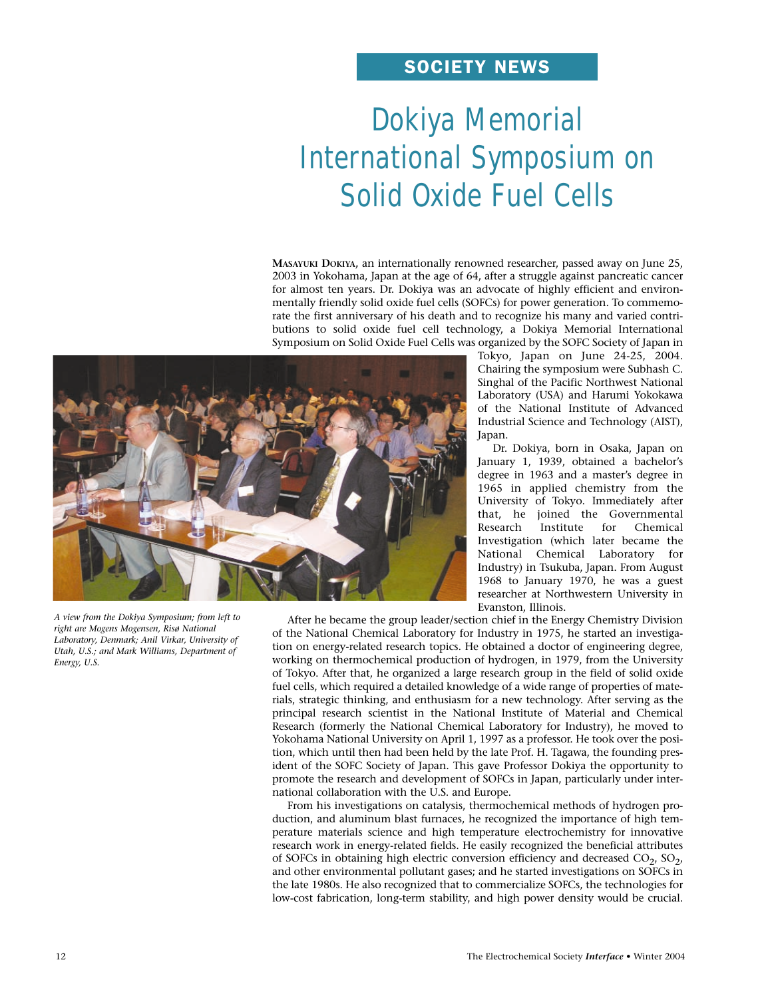# SOCIETY NEWS

# Dokiya Memorial International Symposium on Solid Oxide Fuel Cells

**MASAYUKI DOKIYA,** an internationally renowned researcher, passed away on June 25, 2003 in Yokohama, Japan at the age of 64, after a struggle against pancreatic cancer for almost ten years. Dr. Dokiya was an advocate of highly efficient and environmentally friendly solid oxide fuel cells (SOFCs) for power generation. To commemorate the first anniversary of his death and to recognize his many and varied contributions to solid oxide fuel cell technology, a Dokiya Memorial International Symposium on Solid Oxide Fuel Cells was organized by the SOFC Society of Japan in



*A view from the Dokiya Symposium; from left to right are Mogens Mogensen, Risø National Laboratory, Denmark; Anil Virkar, University of Utah, U.S.; and Mark Williams, Department of Energy, U.S.*

Tokyo, Japan on June 24-25, 2004. Chairing the symposium were Subhash C. Singhal of the Pacific Northwest National Laboratory (USA) and Harumi Yokokawa of the National Institute of Advanced Industrial Science and Technology (AIST), Japan.

Dr. Dokiya, born in Osaka, Japan on January 1, 1939, obtained a bachelor's degree in 1963 and a master's degree in 1965 in applied chemistry from the University of Tokyo. Immediately after that, he joined the Governmental<br>Research Institute for Chemical Institute for Chemical Investigation (which later became the National Chemical Laboratory for Industry) in Tsukuba, Japan. From August 1968 to January 1970, he was a guest researcher at Northwestern University in Evanston, Illinois.

After he became the group leader/section chief in the Energy Chemistry Division of the National Chemical Laboratory for Industry in 1975, he started an investigation on energy-related research topics. He obtained a doctor of engineering degree, working on thermochemical production of hydrogen, in 1979, from the University of Tokyo. After that, he organized a large research group in the field of solid oxide fuel cells, which required a detailed knowledge of a wide range of properties of materials, strategic thinking, and enthusiasm for a new technology. After serving as the principal research scientist in the National Institute of Material and Chemical Research (formerly the National Chemical Laboratory for Industry), he moved to Yokohama National University on April 1, 1997 as a professor. He took over the position, which until then had been held by the late Prof. H. Tagawa, the founding president of the SOFC Society of Japan. This gave Professor Dokiya the opportunity to promote the research and development of SOFCs in Japan, particularly under international collaboration with the U.S. and Europe.

From his investigations on catalysis, thermochemical methods of hydrogen production, and aluminum blast furnaces, he recognized the importance of high temperature materials science and high temperature electrochemistry for innovative research work in energy-related fields. He easily recognized the beneficial attributes of SOFCs in obtaining high electric conversion efficiency and decreased  $CO<sub>2</sub>$ ,  $SO<sub>2</sub>$ , and other environmental pollutant gases; and he started investigations on SOFCs in the late 1980s. He also recognized that to commercialize SOFCs, the technologies for low-cost fabrication, long-term stability, and high power density would be crucial.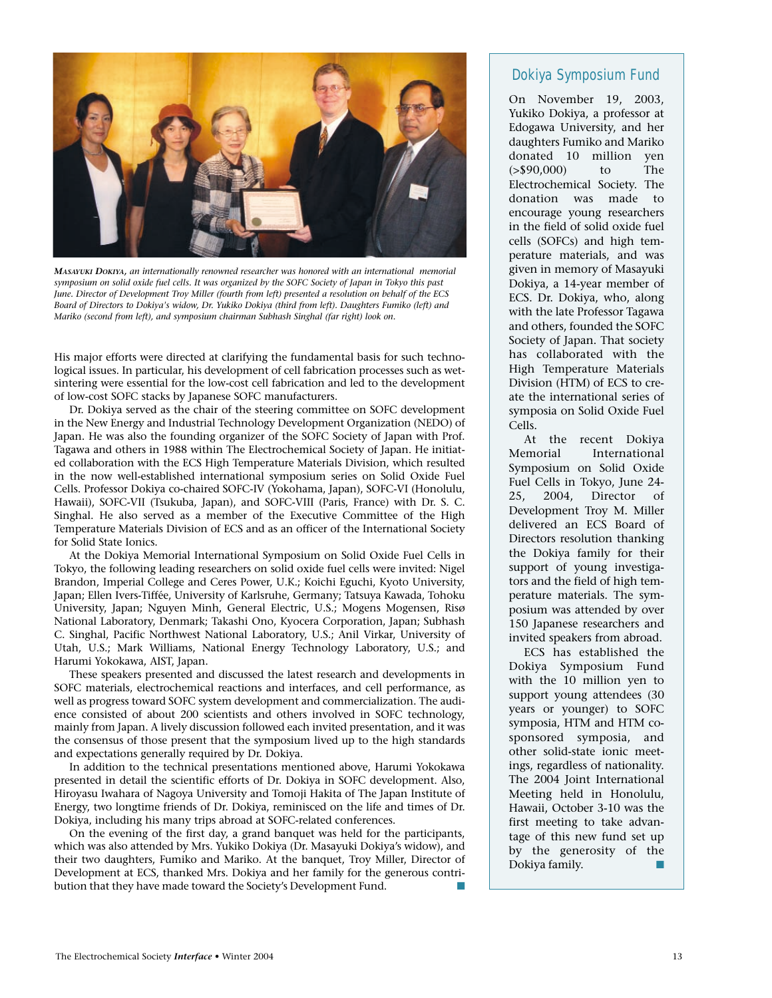

*MASAYUKI DOKIYA, an internationally renowned researcher was honored with an international memorial symposium on solid oxide fuel cells. It was organized by the SOFC Society of Japan in Tokyo this past June. Director of Development Troy Miller (fourth from left) presented a resolution on behalf of the ECS Board of Directors to Dokiya's widow, Dr. Yukiko Dokiya (third from left). Daughters Fumiko (left) and Mariko (second from left), and symposium chairman Subhash Singhal (far right) look on.*

His major efforts were directed at clarifying the fundamental basis for such technological issues. In particular, his development of cell fabrication processes such as wetsintering were essential for the low-cost cell fabrication and led to the development of low-cost SOFC stacks by Japanese SOFC manufacturers.

Dr. Dokiya served as the chair of the steering committee on SOFC development in the New Energy and Industrial Technology Development Organization (NEDO) of Japan. He was also the founding organizer of the SOFC Society of Japan with Prof. Tagawa and others in 1988 within The Electrochemical Society of Japan. He initiated collaboration with the ECS High Temperature Materials Division, which resulted in the now well-established international symposium series on Solid Oxide Fuel Cells. Professor Dokiya co-chaired SOFC-IV (Yokohama, Japan), SOFC-VI (Honolulu, Hawaii), SOFC-VII (Tsukuba, Japan), and SOFC-VIII (Paris, France) with Dr. S. C. Singhal. He also served as a member of the Executive Committee of the High Temperature Materials Division of ECS and as an officer of the International Society for Solid State Ionics.

At the Dokiya Memorial International Symposium on Solid Oxide Fuel Cells in Tokyo, the following leading researchers on solid oxide fuel cells were invited: Nigel Brandon, Imperial College and Ceres Power, U.K.; Koichi Eguchi, Kyoto University, Japan; Ellen Ivers-Tiffée, University of Karlsruhe, Germany; Tatsuya Kawada, Tohoku University, Japan; Nguyen Minh, General Electric, U.S.; Mogens Mogensen, Risø National Laboratory, Denmark; Takashi Ono, Kyocera Corporation, Japan; Subhash C. Singhal, Pacific Northwest National Laboratory, U.S.; Anil Virkar, University of Utah, U.S.; Mark Williams, National Energy Technology Laboratory, U.S.; and Harumi Yokokawa, AIST, Japan.

These speakers presented and discussed the latest research and developments in SOFC materials, electrochemical reactions and interfaces, and cell performance, as well as progress toward SOFC system development and commercialization. The audience consisted of about 200 scientists and others involved in SOFC technology, mainly from Japan. A lively discussion followed each invited presentation, and it was the consensus of those present that the symposium lived up to the high standards and expectations generally required by Dr. Dokiya.

In addition to the technical presentations mentioned above, Harumi Yokokawa presented in detail the scientific efforts of Dr. Dokiya in SOFC development. Also, Hiroyasu Iwahara of Nagoya University and Tomoji Hakita of The Japan Institute of Energy, two longtime friends of Dr. Dokiya, reminisced on the life and times of Dr. Dokiya, including his many trips abroad at SOFC-related conferences.

On the evening of the first day, a grand banquet was held for the participants, which was also attended by Mrs. Yukiko Dokiya (Dr. Masayuki Dokiya's widow), and their two daughters, Fumiko and Mariko. At the banquet, Troy Miller, Director of Development at ECS, thanked Mrs. Dokiya and her family for the generous contribution that they have made toward the Society's Development Fund.

## Dokiya Symposium Fund

On November 19, 2003, Yukiko Dokiya, a professor at Edogawa University, and her daughters Fumiko and Mariko donated 10 million yen (>\$90,000) to The Electrochemical Society. The donation was made to encourage young researchers in the field of solid oxide fuel cells (SOFCs) and high temperature materials, and was given in memory of Masayuki Dokiya, a 14-year member of ECS. Dr. Dokiya, who, along with the late Professor Tagawa and others, founded the SOFC Society of Japan. That society has collaborated with the High Temperature Materials Division (HTM) of ECS to create the international series of symposia on Solid Oxide Fuel Cells.

At the recent Dokiya Memorial International Symposium on Solid Oxide Fuel Cells in Tokyo, June 24- 25, 2004, Director of Development Troy M. Miller delivered an ECS Board of Directors resolution thanking the Dokiya family for their support of young investigators and the field of high temperature materials. The symposium was attended by over 150 Japanese researchers and invited speakers from abroad.

ECS has established the Dokiya Symposium Fund with the 10 million yen to support young attendees (30 years or younger) to SOFC symposia, HTM and HTM cosponsored symposia, and other solid-state ionic meetings, regardless of nationality. The 2004 Joint International Meeting held in Honolulu, Hawaii, October 3-10 was the first meeting to take advantage of this new fund set up by the generosity of the Dokiya family.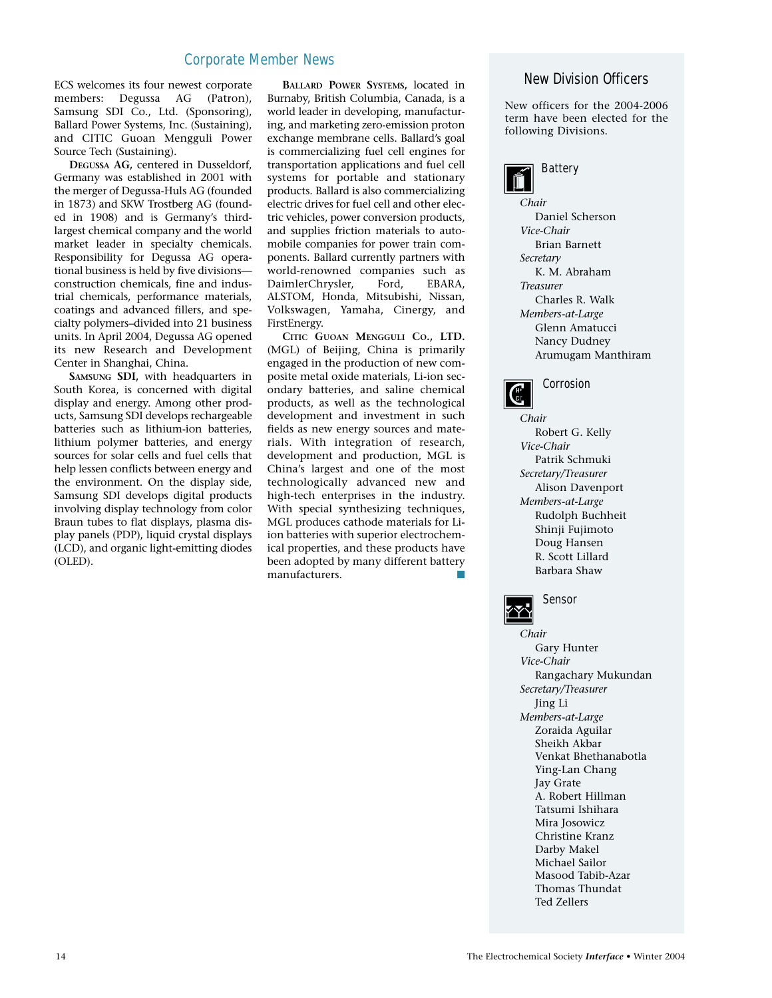ECS welcomes its four newest corporate members: Degussa AG (Patron), Samsung SDI Co., Ltd. (Sponsoring), Ballard Power Systems, Inc. (Sustaining), and CITIC Guoan Mengguli Power Source Tech (Sustaining).

**DEGUSSA AG,** centered in Dusseldorf, Germany was established in 2001 with the merger of Degussa-Huls AG (founded in 1873) and SKW Trostberg AG (founded in 1908) and is Germany's thirdlargest chemical company and the world market leader in specialty chemicals. Responsibility for Degussa AG operational business is held by five divisions construction chemicals, fine and industrial chemicals, performance materials, coatings and advanced fillers, and specialty polymers–divided into 21 business units. In April 2004, Degussa AG opened its new Research and Development Center in Shanghai, China.

**SAMSUNG SDI,** with headquarters in South Korea, is concerned with digital display and energy. Among other products, Samsung SDI develops rechargeable batteries such as lithium-ion batteries, lithium polymer batteries, and energy sources for solar cells and fuel cells that help lessen conflicts between energy and the environment. On the display side, Samsung SDI develops digital products involving display technology from color Braun tubes to flat displays, plasma display panels (PDP), liquid crystal displays (LCD), and organic light-emitting diodes (OLED).

**BALLARD POWER SYSTEMS,** located in Burnaby, British Columbia, Canada, is a world leader in developing, manufacturing, and marketing zero-emission proton exchange membrane cells. Ballard's goal is commercializing fuel cell engines for transportation applications and fuel cell systems for portable and stationary products. Ballard is also commercializing electric drives for fuel cell and other electric vehicles, power conversion products, and supplies friction materials to automobile companies for power train components. Ballard currently partners with world-renowned companies such as<br>DaimlerChrysler. Ford. EBARA. DaimlerChrysler, ALSTOM, Honda, Mitsubishi, Nissan, Volkswagen, Yamaha, Cinergy, and FirstEnergy.

**CITIC GUOAN MENGGULI CO., LTD.** (MGL) of Beijing, China is primarily engaged in the production of new composite metal oxide materials, Li-ion secondary batteries, and saline chemical products, as well as the technological development and investment in such fields as new energy sources and materials. With integration of research, development and production, MGL is China's largest and one of the most technologically advanced new and high-tech enterprises in the industry. With special synthesizing techniques, MGL produces cathode materials for Liion batteries with superior electrochemical properties, and these products have been adopted by many different battery manufacturers.

### New Division Officers

New officers for the 2004-2006 term have been elected for the following Divisions.



*Chair* Daniel Scherson *Vice-Chair* Brian Barnett *Secretary* K. M. Abraham *Treasurer* Charles R. Walk *Members-at-Large* Glenn Amatucci Nancy Dudney Arumugam Manthiram



*Chair* Robert G. Kelly *Vice-Chair* Patrik Schmuki *Secretary/Treasurer* Alison Davenport *Members-at-Large* Rudolph Buchheit Shinji Fujimoto Doug Hansen R. Scott Lillard Barbara Shaw



*Chair* Gary Hunter *Vice-Chair* Rangachary Mukundan *Secretary/Treasurer* Jing Li *Members-at-Large* Zoraida Aguilar Sheikh Akbar Venkat Bhethanabotla Ying-Lan Chang Jay Grate A. Robert Hillman Tatsumi Ishihara Mira Josowicz Christine Kranz Darby Makel Michael Sailor Masood Tabib-Azar

Thomas Thundat Ted Zellers